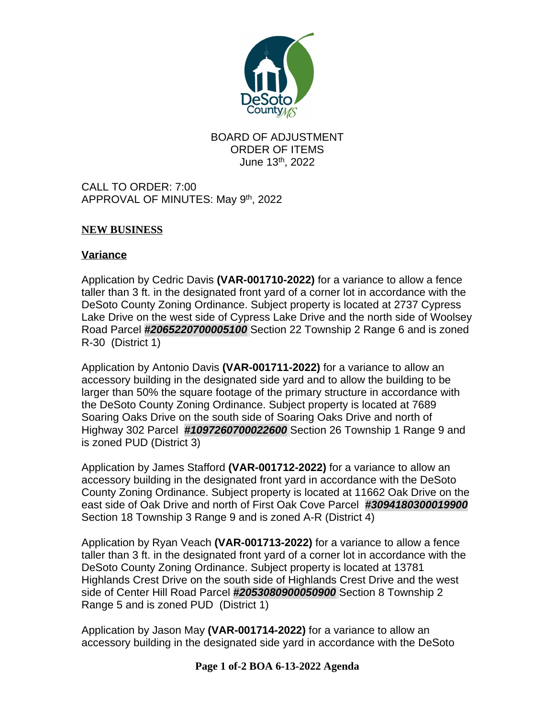

BOARD OF ADJUSTMENT ORDER OF ITEMS June 13 th, 2022

CALL TO ORDER: 7:00 APPROVAL OF MINUTES: May 9th, 2022

## **NEW BUSINESS**

## **Variance**

Application by Cedric Davis **(VAR-001710-2022)** for a variance to allow a fence taller than 3 ft. in the designated front yard of a corner lot in accordance with the DeSoto County Zoning Ordinance. Subject property is located at 2737 Cypress Lake Drive on the west side of Cypress Lake Drive and the north side of Woolsey Road Parcel **#***2065220700005100* Section 22 Township 2 Range 6 and is zoned R-30 (District 1)

Application by Antonio Davis **(VAR-001711-2022)** for a variance to allow an accessory building in the designated side yard and to allow the building to be larger than 50% the square footage of the primary structure in accordance with the DeSoto County Zoning Ordinance. Subject property is located at 7689 Soaring Oaks Drive on the south side of Soaring Oaks Drive and north of Highway 302 Parcel *#1097260700022600* Section 26 Township 1 Range 9 and is zoned PUD (District 3)

Application by James Stafford **(VAR-001712-2022)** for a variance to allow an accessory building in the designated front yard in accordance with the DeSoto County Zoning Ordinance. Subject property is located at 11662 Oak Drive on the east side of Oak Drive and north of First Oak Cove Parcel *#3094180300019900* Section 18 Township 3 Range 9 and is zoned A-R (District 4)

Application by Ryan Veach **(VAR-001713-2022)** for a variance to allow a fence taller than 3 ft. in the designated front yard of a corner lot in accordance with the DeSoto County Zoning Ordinance. Subject property is located at 13781 Highlands Crest Drive on the south side of Highlands Crest Drive and the west side of Center Hill Road Parcel **#***2053080900050900* Section 8 Township 2 Range 5 and is zoned PUD (District 1)

Application by Jason May **(VAR-001714-2022)** for a variance to allow an accessory building in the designated side yard in accordance with the DeSoto

**Page 1 of-2 BOA 6-13-2022 Agenda**